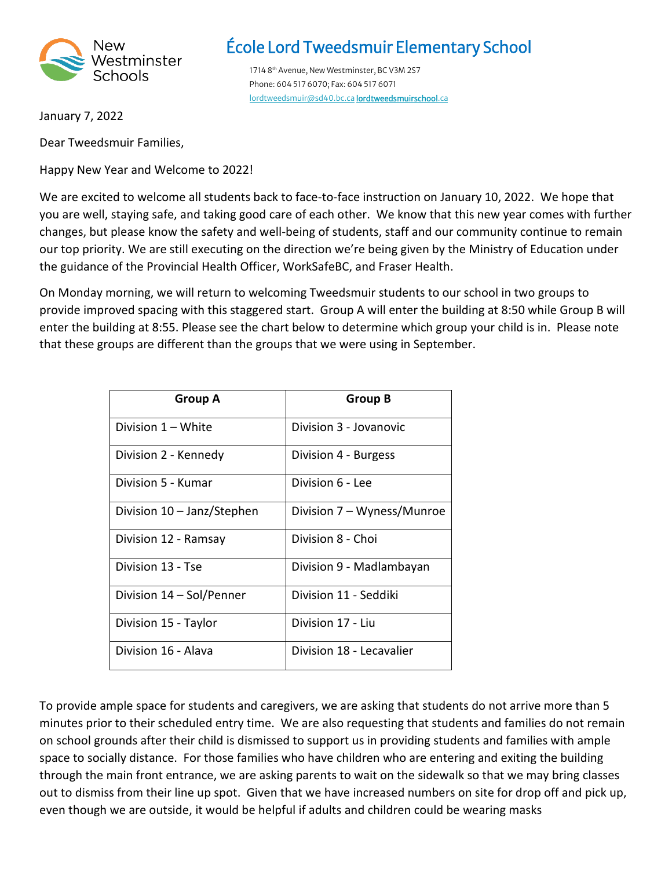

## École Lord Tweedsmuir Elementary School

1714 8<sup>th</sup> Avenue, New Westminster, BC V3M 2S7 Phone: 604 517 6070; Fax: 604 517 6071 [lordtweedsmuir@sd40.bc.ca](mailto:lordtweedsmuir@sd40.bc.ca) [lordtweedsmuirschool.ca](https://lordtweedsmuirschool.ca/) 

January 7, 2022

Dear Tweedsmuir Families,

Happy New Year and Welcome to 2022!

We are excited to welcome all students back to face-to-face instruction on January 10, 2022. We hope that you are well, staying safe, and taking good care of each other. We know that this new year comes with further changes, but please know the safety and well-being of students, staff and our community continue to remain our top priority. We are still executing on the direction we're being given by the Ministry of Education under the guidance of the Provincial Health Officer, WorkSafeBC, and Fraser Health.

On Monday morning, we will return to welcoming Tweedsmuir students to our school in two groups to provide improved spacing with this staggered start. Group A will enter the building at 8:50 while Group B will enter the building at 8:55. Please see the chart below to determine which group your child is in. Please note that these groups are different than the groups that we were using in September.

| <b>Group A</b>             | <b>Group B</b>             |
|----------------------------|----------------------------|
| Division 1 – White         | Division 3 - Jovanovic     |
| Division 2 - Kennedy       | Division 4 - Burgess       |
| Division 5 - Kumar         | Division 6 - Lee           |
| Division 10 - Janz/Stephen | Division 7 - Wyness/Munroe |
| Division 12 - Ramsay       | Division 8 - Choi          |
| Division 13 - Tse          | Division 9 - Madlambayan   |
| Division 14 - Sol/Penner   | Division 11 - Seddiki      |
| Division 15 - Taylor       | Division 17 - Liu          |
| Division 16 - Alava        | Division 18 - Lecavalier   |

To provide ample space for students and caregivers, we are asking that students do not arrive more than 5 minutes prior to their scheduled entry time. We are also requesting that students and families do not remain on school grounds after their child is dismissed to support us in providing students and families with ample space to socially distance. For those families who have children who are entering and exiting the building through the main front entrance, we are asking parents to wait on the sidewalk so that we may bring classes out to dismiss from their line up spot. Given that we have increased numbers on site for drop off and pick up, even though we are outside, it would be helpful if adults and children could be wearing masks